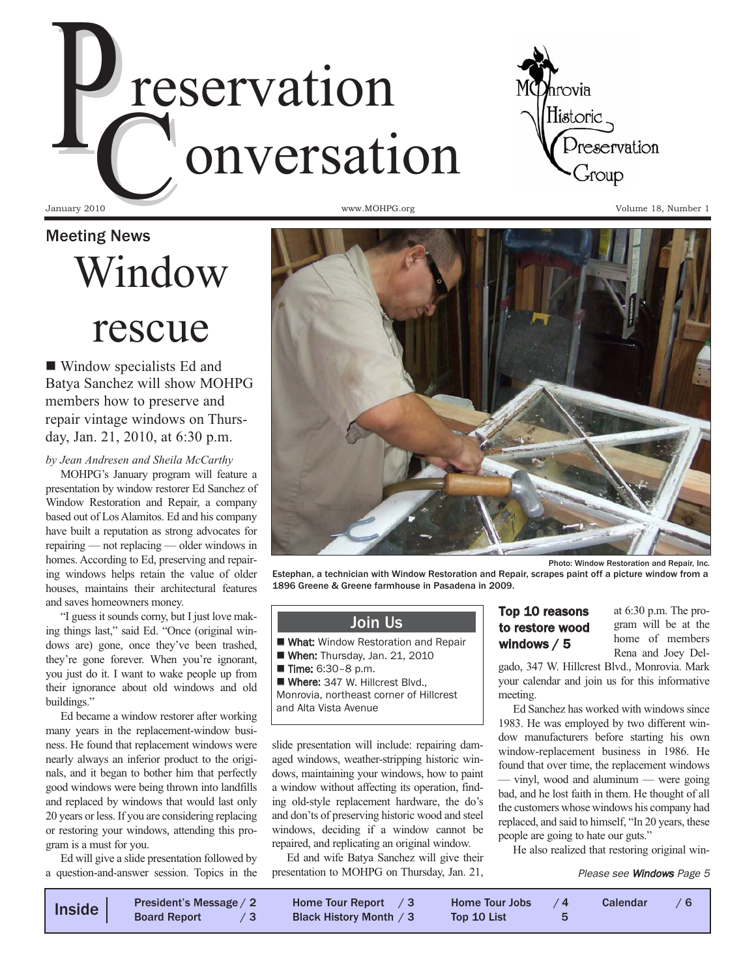



January 2010

Meeting News Window

## rescue

 Window specialists Ed and Batya Sanchez will show MOHPG members how to preserve and repair vintage windows on Thursday, Jan. 21, 2010, at 6:30 p.m.

*by Jean Andresen and Sheila McCarthy*

MOHPG's January program will feature a presentation by window restorer Ed Sanchez of Window Restoration and Repair, a company based out of Los Alamitos. Ed and his company have built a reputation as strong advocates for repairing — not replacing — older windows in homes. According to Ed, preserving and repairing windows helps retain the value of older houses, maintains their architectural features and saves homeowners money.

"I guess it sounds corny, but I just love making things last," said Ed. "Once (original windows are) gone, once they've been trashed, they're gone forever. When you're ignorant, you just do it. I want to wake people up from their ignorance about old windows and old buildings."

Ed became a window restorer after working many years in the replacement-window business. He found that replacement windows were nearly always an inferior product to the originals, and it began to bother him that perfectly good windows were being thrown into landfills and replaced by windows that would last only 20 years or less. If you are considering replacing or restoring your windows, attending this program is a must for you.

Ed will give a slide presentation followed by a question-and-answer session. Topics in the www.MOHPG.org **Volume 18**, Number 1



Photo: Window Restoration and Repair, Inc.

Estephan, a technician with Window Restoration and Repair, scrapes paint off a picture window from a 1896 Greene & Greene farmhouse in Pasadena in 2009.

#### Join Us

- What: Window Restoration and Repair
- When: Thursday, Jan. 21, 2010
- Time: 6:30-8 p.m.

Where: 347 W. Hillcrest Blvd., Monrovia, northeast corner of Hillcrest

and Alta Vista Avenue

slide presentation will include: repairing damaged windows, weather-stripping historic windows, maintaining your windows, how to paint a window without affecting its operation, finding old-style replacement hardware, the do's and don'ts of preserving historic wood and steel windows, deciding if a window cannot be repaired, and replicating an original window.

Ed and wife Batya Sanchez will give their presentation to MOHPG on Thursday, Jan. 21,

#### Top 10 reasons to restore wood windows / 5

at 6:30 p.m. The program will be at the home of members Rena and Joey Del-

gado, 347 W. Hillcrest Blvd., Monrovia. Mark your calendar and join us for this informative meeting.

Ed Sanchez has worked with windows since 1983. He was employed by two different window manufacturers before starting his own window-replacement business in 1986. He found that over time, the replacement windows — vinyl, wood and aluminum — were going bad, and he lost faith in them. He thought of all the customers whose windows his company had replaced, and said to himself, "In 20 years, these people are going to hate our guts."

He also realized that restoring original win-

#### Please see Windows Page 5

| Inside | President's Message / 2<br><b>Board Report</b> | Home Tour Report $\sqrt{3}$<br>Black History Month / 3 | Home Tour Jobs $/4$<br>Top 10 List |  | <b>Calendar</b> |  |
|--------|------------------------------------------------|--------------------------------------------------------|------------------------------------|--|-----------------|--|
|--------|------------------------------------------------|--------------------------------------------------------|------------------------------------|--|-----------------|--|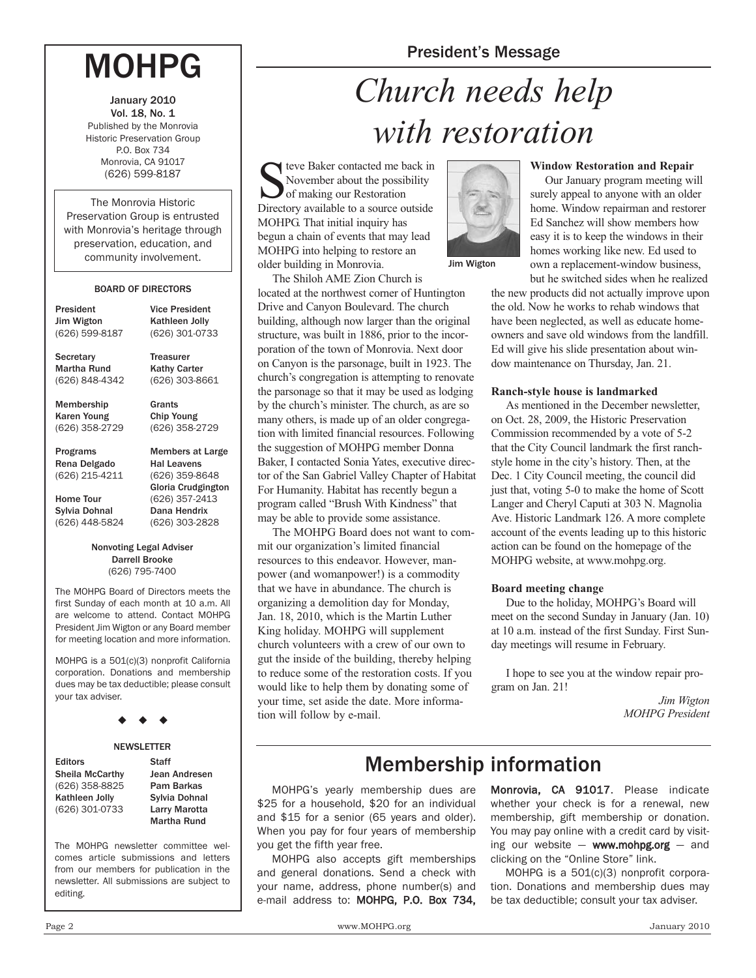### President's Message

## MOHPG

January 2010 Vol. 18, No. 1 Published by the Monrovia Historic Preservation Group P.O. Box 734 Monrovia, CA 91017 (626) 599-8187

The Monrovia Historic Preservation Group is entrusted with Monrovia's heritage through preservation, education, and community involvement.

#### BOARD OF DIRECTORS

| President                                  | <b>Vice President</b>                                                                 |
|--------------------------------------------|---------------------------------------------------------------------------------------|
| Jim Wigton                                 | Kathleen Jolly                                                                        |
| (626) 599-8187                             | (626) 301-0733                                                                        |
| Secretary                                  | <b>Treasurer</b>                                                                      |
| Martha Rund                                | <b>Kathy Carter</b>                                                                   |
| (626) 848-4342                             | (626) 303-8661                                                                        |
| Membership                                 | Grants                                                                                |
| Karen Young                                | <b>Chip Young</b>                                                                     |
| (626) 358-2729                             | (626) 358-2729                                                                        |
| Programs<br>Rena Delgado<br>(626) 215-4211 | <b>Members at Large</b><br><b>Hal Leavens</b><br>(626) 359-8648<br>Gloria Crudgington |
| <b>Home Tour</b>                           | (626) 357-2413                                                                        |
| Sylvia Dohnal                              | Dana Hendrix                                                                          |
| (626) 448-5824                             | (626) 303-2828                                                                        |

Nonvoting Legal Adviser Darrell Brooke (626) 795-7400

The MOHPG Board of Directors meets the first Sunday of each month at 10 a.m. All are welcome to attend. Contact MOHPG President Jim Wigton or any Board member for meeting location and more information.

MOHPG is a 501(c)(3) nonprofit California corporation. Donations and membership dues may be tax deductible; please consult your tax adviser.

#### $\ddot{\bullet}$  $\bullet$ -

#### **NEWSLETTER**

| <b>Editors</b>         | <b>Staff</b>         |
|------------------------|----------------------|
| <b>Sheila McCarthy</b> | <b>Jean Andresen</b> |
| (626) 358-8825         | Pam Barkas           |
| Kathleen Jolly         | Sylvia Dohnal        |
| (626) 301-0733         | Larry Marotta        |
|                        | <b>Martha Rund</b>   |

The MOHPG newsletter committee welcomes article submissions and letters from our members for publication in the newsletter. All submissions are subject to editing.

# *Church needs help with restoration*

teve Baker contacted me back in November about the possibility of making our Restoration Directory available to a source outside MOHPG. That initial inquiry has begun a chain of events that may lead MOHPG into helping to restore an older building in Monrovia.

The Shiloh AME Zion Church is located at the northwest corner of Huntington Drive and Canyon Boulevard. The church building, although now larger than the original structure, was built in 1886, prior to the incorporation of the town of Monrovia. Next door on Canyon is the parsonage, built in 1923. The church's congregation is attempting to renovate the parsonage so that it may be used as lodging by the church's minister. The church, as are so many others, is made up of an older congregation with limited financial resources. Following the suggestion of MOHPG member Donna Baker, I contacted Sonia Yates, executive director of the San Gabriel Valley Chapter of Habitat For Humanity. Habitat has recently begun a program called "Brush With Kindness" that may be able to provide some assistance.

The MOHPG Board does not want to commit our organization's limited financial resources to this endeavor. However, manpower (and womanpower!) is a commodity that we have in abundance. The church is organizing a demolition day for Monday, Jan. 18, 2010, which is the Martin Luther King holiday. MOHPG will supplement church volunteers with a crew of our own to gut the inside of the building, thereby helping to reduce some of the restoration costs. If you would like to help them by donating some of your time, set aside the date. More information will follow by e-mail.



**Window Restoration and Repair**

Our January program meeting will surely appeal to anyone with an older home. Window repairman and restorer Ed Sanchez will show members how easy it is to keep the windows in their homes working like new. Ed used to own a replacement-window business, but he switched sides when he realized

the new products did not actually improve upon the old. Now he works to rehab windows that have been neglected, as well as educate homeowners and save old windows from the landfill. Ed will give his slide presentation about window maintenance on Thursday, Jan. 21.

#### **Ranch-style house is landmarked**

As mentioned in the December newsletter, on Oct. 28, 2009, the Historic Preservation Commission recommended by a vote of 5-2 that the City Council landmark the first ranchstyle home in the city's history. Then, at the Dec. 1 City Council meeting, the council did just that, voting 5-0 to make the home of Scott Langer and Cheryl Caputi at 303 N. Magnolia Ave. Historic Landmark 126. A more complete account of the events leading up to this historic action can be found on the homepage of the MOHPG website, at www.mohpg.org.

#### **Board meeting change**

Due to the holiday, MOHPG's Board will meet on the second Sunday in January (Jan. 10) at 10 a.m. instead of the first Sunday. First Sunday meetings will resume in February.

I hope to see you at the window repair program on Jan. 21!

> *Jim Wigton MOHPG President*

### Membership information

MOHPG's yearly membership dues are \$25 for a household, \$20 for an individual and \$15 for a senior (65 years and older). When you pay for four years of membership you get the fifth year free.

MOHPG also accepts gift memberships and general donations. Send a check with your name, address, phone number(s) and e-mail address to: MOHPG, P.O. Box 734,

Monrovia, CA 91017. Please indicate whether your check is for a renewal, new membership, gift membership or donation. You may pay online with a credit card by visiting our website  $-$  www.mohpg.org  $-$  and clicking on the "Online Store" link.

MOHPG is a 501(c)(3) nonprofit corporation. Donations and membership dues may be tax deductible; consult your tax adviser.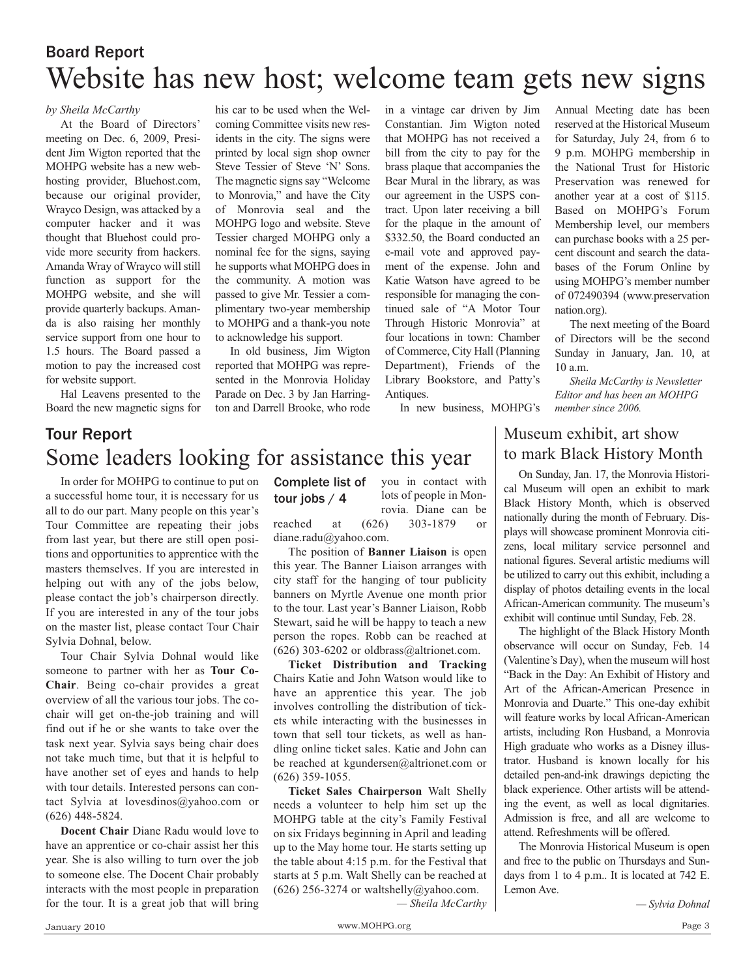### Website has new host; welcome team gets new signs Board Report

*by Sheila McCarthy*

At the Board of Directors' meeting on Dec. 6, 2009, President Jim Wigton reported that the MOHPG website has a new webhosting provider, Bluehost.com, because our original provider, Wrayco Design, was attacked by a computer hacker and it was thought that Bluehost could provide more security from hackers. Amanda Wray of Wrayco will still function as support for the MOHPG website, and she will provide quarterly backups. Amanda is also raising her monthly service support from one hour to 1.5 hours. The Board passed a motion to pay the increased cost for website support.

Hal Leavens presented to the Board the new magnetic signs for

his car to be used when the Welcoming Committee visits new residents in the city. The signs were printed by local sign shop owner Steve Tessier of Steve 'N' Sons. The magnetic signs say "Welcome to Monrovia," and have the City of Monrovia seal and the MOHPG logo and website. Steve Tessier charged MOHPG only a nominal fee for the signs, saying he supports what MOHPG does in the community. A motion was passed to give Mr. Tessier a complimentary two-year membership to MOHPG and a thank-you note to acknowledge his support.

In old business, Jim Wigton reported that MOHPG was represented in the Monrovia Holiday Parade on Dec. 3 by Jan Harrington and Darrell Brooke, who rode

in a vintage car driven by Jim Constantian. Jim Wigton noted that MOHPG has not received a bill from the city to pay for the brass plaque that accompanies the Bear Mural in the library, as was our agreement in the USPS contract. Upon later receiving a bill for the plaque in the amount of \$332.50, the Board conducted an e-mail vote and approved payment of the expense. John and Katie Watson have agreed to be responsible for managing the continued sale of "A Motor Tour Through Historic Monrovia" at four locations in town: Chamber of Commerce, City Hall (Planning Department), Friends of the Library Bookstore, and Patty's Antiques.

In new business, MOHPG's

Annual Meeting date has been reserved at the Historical Museum for Saturday, July 24, from 6 to 9 p.m. MOHPG membership in the National Trust for Historic Preservation was renewed for another year at a cost of \$115. Based on MOHPG's Forum Membership level, our members can purchase books with a 25 percent discount and search the databases of the Forum Online by using MOHPG's member number of 072490394 (www.preservation nation.org).

The next meeting of the Board of Directors will be the second Sunday in January, Jan. 10, at 10 a.m.

*Sheila McCarthy is Newsletter Editor and has been an MOHPG member since 2006.*

### Tour Report Some leaders looking for assistance this year

In order for MOHPG to continue to put on a successful home tour, it is necessary for us all to do our part. Many people on this year's Tour Committee are repeating their jobs from last year, but there are still open positions and opportunities to apprentice with the masters themselves. If you are interested in helping out with any of the jobs below, please contact the job's chairperson directly. If you are interested in any of the tour jobs on the master list, please contact Tour Chair Sylvia Dohnal, below.

Tour Chair Sylvia Dohnal would like someone to partner with her as **Tour Co-Chair**. Being co-chair provides a great overview of all the various tour jobs. The cochair will get on-the-job training and will find out if he or she wants to take over the task next year. Sylvia says being chair does not take much time, but that it is helpful to have another set of eyes and hands to help with tour details. Interested persons can contact Sylvia at lovesdinos@yahoo.com or (626) 448-5824.

**Docent Chair** Diane Radu would love to have an apprentice or co-chair assist her this year. She is also willing to turn over the job to someone else. The Docent Chair probably interacts with the most people in preparation for the tour. It is a great job that will bring

you in contact with lots of people in Mon-Complete list of tour jobs / 4

rovia. Diane can be reached at (626) 303-1879 or diane.radu@yahoo.com.

The position of **Banner Liaison** is open this year. The Banner Liaison arranges with city staff for the hanging of tour publicity banners on Myrtle Avenue one month prior to the tour. Last year's Banner Liaison, Robb Stewart, said he will be happy to teach a new person the ropes. Robb can be reached at  $(626)$  303-6202 or oldbrass@altrionet.com.

**Ticket Distribution and Tracking** Chairs Katie and John Watson would like to have an apprentice this year. The job involves controlling the distribution of tickets while interacting with the businesses in town that sell tour tickets, as well as handling online ticket sales. Katie and John can be reached at kgundersen@altrionet.com or (626) 359-1055.

**Ticket Sales Chairperson** Walt Shelly needs a volunteer to help him set up the MOHPG table at the city's Family Festival on six Fridays beginning in April and leading up to the May home tour. He starts setting up the table about 4:15 p.m. for the Festival that starts at 5 p.m. Walt Shelly can be reached at  $(626)$  256-3274 or waltshelly@yahoo.com.

*— Sheila McCarthy*

### Museum exhibit, art show to mark Black History Month

On Sunday, Jan. 17, the Monrovia Historical Museum will open an exhibit to mark Black History Month, which is observed nationally during the month of February. Displays will showcase prominent Monrovia citizens, local military service personnel and national figures. Several artistic mediums will be utilized to carry out this exhibit, including a display of photos detailing events in the local African-American community. The museum's exhibit will continue until Sunday, Feb. 28.

The highlight of the Black History Month observance will occur on Sunday, Feb. 14 (Valentine's Day), when the museum will host "Back in the Day: An Exhibit of History and Art of the African-American Presence in Monrovia and Duarte." This one-day exhibit will feature works by local African-American artists, including Ron Husband, a Monrovia High graduate who works as a Disney illustrator. Husband is known locally for his detailed pen-and-ink drawings depicting the black experience. Other artists will be attending the event, as well as local dignitaries. Admission is free, and all are welcome to attend. Refreshments will be offered.

The Monrovia Historical Museum is open and free to the public on Thursdays and Sundays from 1 to 4 p.m.. It is located at 742 E. Lemon Ave.

*— Sylvia Dohnal*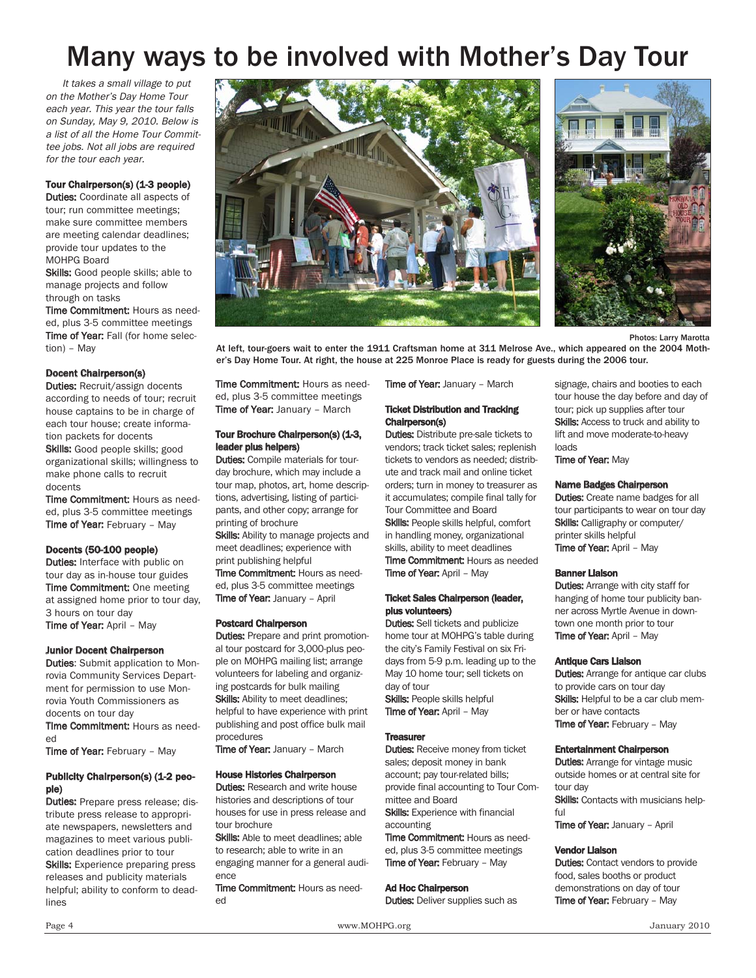## Many ways to be involved with Mother's Day Tour

It takes a small village to put on the Mother's Day Home Tour each year. This year the tour falls on Sunday, May 9, 2010. Below is a list of all the Home Tour Committee jobs. Not all jobs are required for the tour each year.

#### Tour Chairperson(s) (1-3 people)

**Duties:** Coordinate all aspects of tour; run committee meetings; make sure committee members are meeting calendar deadlines; provide tour updates to the MOHPG Board

Skills: Good people skills; able to manage projects and follow through on tasks

Time Commitment: Hours as needed, plus 3-5 committee meetings Time of Year: Fall (for home selection) – May

#### Docent Chairperson(s)

Duties: Recruit/assign docents according to needs of tour; recruit house captains to be in charge of each tour house; create information packets for docents Skills: Good people skills; good

organizational skills; willingness to make phone calls to recruit docents

Time Commitment: Hours as needed, plus 3-5 committee meetings Time of Year: February - May

#### Docents (50-100 people)

**Duties:** Interface with public on tour day as in-house tour guides **Time Commitment:** One meeting at assigned home prior to tour day, 3 hours on tour day Time of Year: April - May

#### Junior Docent Chairperson

**Duties:** Submit application to Monrovia Community Services Department for permission to use Monrovia Youth Commissioners as docents on tour day

Time Commitment: Hours as needed

Time of Year: February - May

#### Publicity Chairperson(s) (1-2 people)

Duties: Prepare press release; distribute press release to appropriate newspapers, newsletters and magazines to meet various publication deadlines prior to tour

Skills: Experience preparing press releases and publicity materials helpful; ability to conform to deadlines





Photos: Larry Marotta

At left, tour-goers wait to enter the 1911 Craftsman home at 311 Melrose Ave., which appeared on the 2004 Mother's Day Home Tour. At right, the house at 225 Monroe Place is ready for guests during the 2006 tour.

Time Commitment: Hours as needed, plus 3-5 committee meetings Time of Year: January - March

#### Tour Brochure Chairperson(s) (1-3, leader plus helpers)

**Duties:** Compile materials for tourday brochure, which may include a tour map, photos, art, home descriptions, advertising, listing of participants, and other copy; arrange for printing of brochure

Skills: Ability to manage projects and meet deadlines; experience with print publishing helpful Time Commitment: Hours as needed, plus 3-5 committee meetings Time of Year: January - April

#### Postcard Chairperson

**Duties:** Prepare and print promotional tour postcard for 3,000-plus people on MOHPG mailing list; arrange volunteers for labeling and organizing postcards for bulk mailing Skills: Ability to meet deadlines; helpful to have experience with print publishing and post office bulk mail procedures

Time of Year: January - March

#### House Histories Chairperson

**Duties: Research and write house** histories and descriptions of tour houses for use in press release and tour brochure

Skills: Able to meet deadlines; able to research; able to write in an engaging manner for a general audience

Time Commitment: Hours as needed

Time of Year: January - March

#### Ticket Distribution and Tracking Chairperson(s)

**Duties:** Distribute pre-sale tickets to vendors; track ticket sales; replenish tickets to vendors as needed; distribute and track mail and online ticket orders; turn in money to treasurer as it accumulates; compile final tally for Tour Committee and Board Skills: People skills helpful, comfort in handling money, organizational skills, ability to meet deadlines Time Commitment: Hours as needed Time of Year: April - May

#### Ticket Sales Chairperson (leader, plus volunteers)

**Duties:** Sell tickets and publicize home tour at MOHPG's table during the city's Family Festival on six Fridays from 5-9 p.m. leading up to the May 10 home tour; sell tickets on day of tour Skills: People skills helpful

Time of Year: April – May

#### **Treasurer**

**Duties:** Receive money from ticket sales; deposit money in bank account; pay tour-related bills; provide final accounting to Tour Committee and Board Skills: Experience with financial

accounting Time Commitment: Hours as needed, plus 3-5 committee meetings Time of Year: February - May

#### Ad Hoc Chairperson

**Duties:** Deliver supplies such as

signage, chairs and booties to each tour house the day before and day of tour; pick up supplies after tour Skills: Access to truck and ability to lift and move moderate-to-heavy loads

**Time of Year: May** 

#### Name Badges Chairperson

**Duties:** Create name badges for all tour participants to wear on tour day Skills: Calligraphy or computer/ printer skills helpful Time of Year: April - May

#### Banner Liaison

**Duties:** Arrange with city staff for hanging of home tour publicity banner across Myrtle Avenue in downtown one month prior to tour **Time of Year: April - May** 

#### Antique Cars Liaison

**Duties:** Arrange for antique car clubs to provide cars on tour day Skills: Helpful to be a car club member or have contacts Time of Year: February - May

#### Entertainment Chairperson

**Duties:** Arrange for vintage music outside homes or at central site for tour day Skills: Contacts with musicians helpful

**Time of Year: January - April** 

#### Vendor Liaison

**Duties:** Contact vendors to provide food, sales booths or product demonstrations on day of tour Time of Year: February - May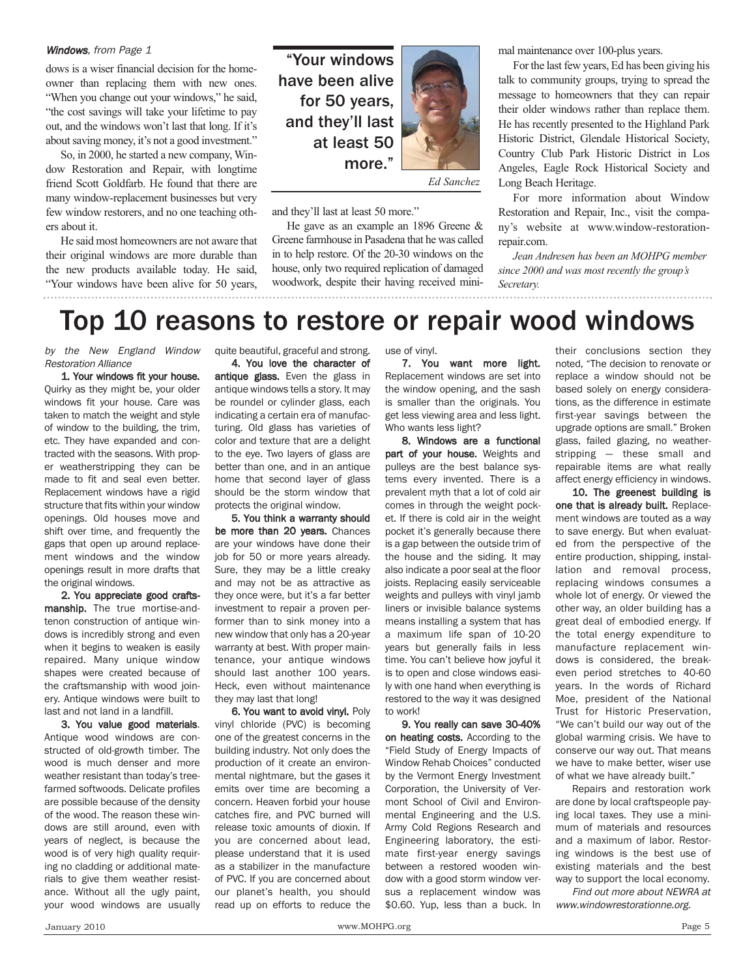#### Windows, from Page 1

dows is a wiser financial decision for the homeowner than replacing them with new ones. "When you change out your windows," he said, "the cost savings will take your lifetime to pay out, and the windows won't last that long. If it's about saving money, it's not a good investment."

So, in 2000, he started a new company, Window Restoration and Repair, with longtime friend Scott Goldfarb. He found that there are many window-replacement businesses but very few window restorers, and no one teaching others about it.

He said most homeowners are not aware that their original windows are more durable than the new products available today. He said, "Your windows have been alive for 50 years,

"Your windows have been alive for 50 years, and they'll last at least 50 more."



and they'll last at least 50 more."

He gave as an example an 1896 Greene & Greene farmhouse in Pasadena that he was called in to help restore. Of the 20-30 windows on the house, only two required replication of damaged woodwork, despite their having received minimal maintenance over 100-plus years.

For the last few years, Ed has been giving his talk to community groups, trying to spread the message to homeowners that they can repair their older windows rather than replace them. He has recently presented to the Highland Park Historic District, Glendale Historical Society, Country Club Park Historic District in Los Angeles, Eagle Rock Historical Society and Long Beach Heritage.

For more information about Window Restoration and Repair, Inc., visit the company's website at www.window-restorationrepair.com.

*Jean Andresen has been an MOHPG member since 2000 and was most recently the group's Secretary.*

### Top 10 reasons to restore or repair wood windows

by the New England Window Restoration Alliance

1. Your windows fit your house. Quirky as they might be, your older windows fit your house. Care was taken to match the weight and style of window to the building, the trim, etc. They have expanded and contracted with the seasons. With proper weatherstripping they can be made to fit and seal even better. Replacement windows have a rigid structure that fits within your window openings. Old houses move and shift over time, and frequently the gaps that open up around replacement windows and the window openings result in more drafts that the original windows.

2. You appreciate good craftsmanship. The true mortise-andtenon construction of antique windows is incredibly strong and even when it begins to weaken is easily repaired. Many unique window shapes were created because of the craftsmanship with wood joinery. Antique windows were built to last and not land in a landfill.

3. You value good materials. Antique wood windows are constructed of old-growth timber. The wood is much denser and more weather resistant than today's treefarmed softwoods. Delicate profiles are possible because of the density of the wood. The reason these windows are still around, even with years of neglect, is because the wood is of very high quality requiring no cladding or additional materials to give them weather resistance. Without all the ugly paint, your wood windows are usually

quite beautiful, graceful and strong.

4. You love the character of antique glass. Even the glass in antique windows tells a story. It may be roundel or cylinder glass, each indicating a certain era of manufacturing. Old glass has varieties of color and texture that are a delight to the eye. Two layers of glass are better than one, and in an antique home that second layer of glass should be the storm window that protects the original window.

5. You think a warranty should be more than 20 years. Chances are your windows have done their job for 50 or more years already. Sure, they may be a little creaky and may not be as attractive as they once were, but it's a far better investment to repair a proven performer than to sink money into a new window that only has a 20-year warranty at best. With proper maintenance, your antique windows should last another 100 years. Heck, even without maintenance they may last that long!

6. You want to avoid vinyl. Poly vinyl chloride (PVC) is becoming one of the greatest concerns in the building industry. Not only does the production of it create an environmental nightmare, but the gases it emits over time are becoming a concern. Heaven forbid your house catches fire, and PVC burned will release toxic amounts of dioxin. If you are concerned about lead, please understand that it is used as a stabilizer in the manufacture of PVC. If you are concerned about our planet's health, you should read up on efforts to reduce the

use of vinyl.

7. You want more light. Replacement windows are set into the window opening, and the sash is smaller than the originals. You get less viewing area and less light. Who wants less light?

8. Windows are a functional part of your house. Weights and pulleys are the best balance systems every invented. There is a prevalent myth that a lot of cold air comes in through the weight pocket. If there is cold air in the weight pocket it's generally because there is a gap between the outside trim of the house and the siding. It may also indicate a poor seal at the floor joists. Replacing easily serviceable weights and pulleys with vinyl jamb liners or invisible balance systems means installing a system that has a maximum life span of 10-20 years but generally fails in less time. You can't believe how joyful it is to open and close windows easily with one hand when everything is restored to the way it was designed to work!

9. You really can save 30-40% on heating costs. According to the "Field Study of Energy Impacts of Window Rehab Choices" conducted by the Vermont Energy Investment Corporation, the University of Vermont School of Civil and Environmental Engineering and the U.S. Army Cold Regions Research and Engineering laboratory, the estimate first-year energy savings between a restored wooden window with a good storm window versus a replacement window was \$0.60. Yup, less than a buck. In

their conclusions section they noted, "The decision to renovate or replace a window should not be based solely on energy considerations, as the difference in estimate first-year savings between the upgrade options are small." Broken glass, failed glazing, no weatherstripping — these small and repairable items are what really affect energy efficiency in windows.

10. The greenest building is one that is already built. Replacement windows are touted as a way to save energy. But when evaluated from the perspective of the entire production, shipping, installation and removal process, replacing windows consumes a whole lot of energy. Or viewed the other way, an older building has a great deal of embodied energy. If the total energy expenditure to manufacture replacement windows is considered, the breakeven period stretches to 40-60 years. In the words of Richard Moe, president of the National Trust for Historic Preservation, "We can't build our way out of the global warming crisis. We have to conserve our way out. That means we have to make better, wiser use of what we have already built."

Repairs and restoration work are done by local craftspeople paying local taxes. They use a minimum of materials and resources and a maximum of labor. Restoring windows is the best use of existing materials and the best way to support the local economy.

Find out more about NEWRA at www.windowrestorationne.org.